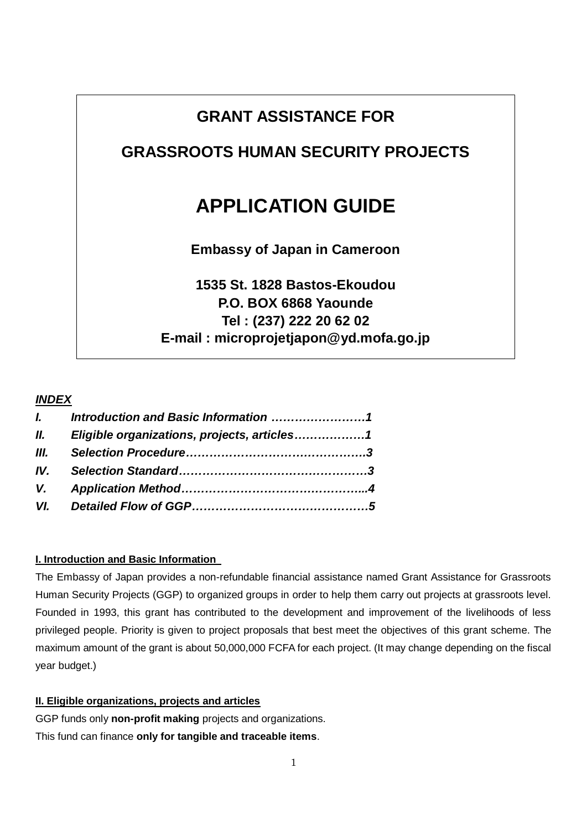# **GRANT ASSISTANCE FOR**

# **GRASSROOTS HUMAN SECURITY PROJECTS**

# **APPLICATION GUIDE**

**Embassy of Japan in Cameroon**

**1535 St. 1828 Bastos-Ekoudou P.O. BOX 6868 Yaounde Tel : (237) 222 20 62 02 E-mail : microprojetjapon@yd.mofa.go.jp**

# *INDEX*

| II. Eligible organizations, projects, articles |  |
|------------------------------------------------|--|
|                                                |  |
|                                                |  |
|                                                |  |
|                                                |  |

# **I. Introduction and Basic Information**

The Embassy of Japan provides a non-refundable financial assistance named Grant Assistance for Grassroots Human Security Projects (GGP) to organized groups in order to help them carry out projects at grassroots level. Founded in 1993, this grant has contributed to the development and improvement of the livelihoods of less privileged people. Priority is given to project proposals that best meet the objectives of this grant scheme. The maximum amount of the grant is about 50,000,000 FCFA for each project. (It may change depending on the fiscal year budget.)

#### **II. Eligible organizations, projects and articles**

GGP funds only **non-profit making** projects and organizations.

This fund can finance **only for tangible and traceable items**.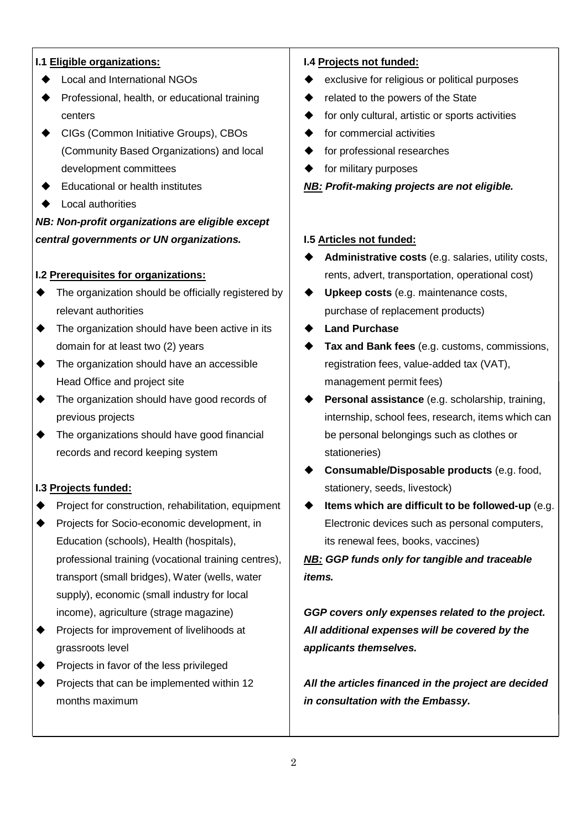# **I.1 Eligible organizations:**

- ◆ Local and International NGOs
- $\blacklozenge$  Professional, health, or educational training centers
- ◆ CIGs (Common Initiative Groups), CBOs (Community Based Organizations) and local development committees
- ♦ Educational or health institutes
- Local authorities

*NB: Non-profit organizations are eligible except central governments or UN organizations.*

### **I.2 Prerequisites for organizations:**

- The organization should be officially registered by relevant authorities
- $\blacklozenge$  The organization should have been active in its domain for at least two (2) years
- The organization should have an accessible Head Office and project site
- The organization should have good records of previous projects
- The organizations should have good financial records and record keeping system

# **I.3 Projects funded:**

- Project for construction, rehabilitation, equipment
- Projects for Socio-economic development, in Education (schools), Health (hospitals), professional training (vocational training centres), transport (small bridges), Water (wells, water supply), economic (small industry for local income), agriculture (strage magazine)
- Projects for improvement of livelihoods at grassroots level
- Projects in favor of the less privileged
- Projects that can be implemented within 12 months maximum

#### **I.4 Projects not funded:**

- exclusive for religious or political purposes
- related to the powers of the State
- for only cultural, artistic or sports activities
- for commercial activities
- for professional researches
- for military purposes

### *NB: Profit-making projects are not eligible.*

#### **I.5 Articles not funded:**

- **Administrative costs** (e.g. salaries, utility costs, rents, advert, transportation, operational cost)
- **Upkeep costs** (e.g. maintenance costs, purchase of replacement products)
- **Land Purchase**
- **Tax and Bank fees** (e.g. customs, commissions, registration fees, value-added tax (VAT), management permit fees)
- **Personal assistance** (e.g. scholarship, training, internship, school fees, research, items which can be personal belongings such as clothes or stationeries)
- **Consumable/Disposable products** (e.g. food, stationery, seeds, livestock)
- **Items which are difficult to be followed-up** (e.g. Electronic devices such as personal computers, its renewal fees, books, vaccines)

*NB: GGP funds only for tangible and traceable items.*

*GGP covers only expenses related to the project. All additional expenses will be covered by the applicants themselves.*

*All the articles financed in the project are decided in consultation with the Embassy.*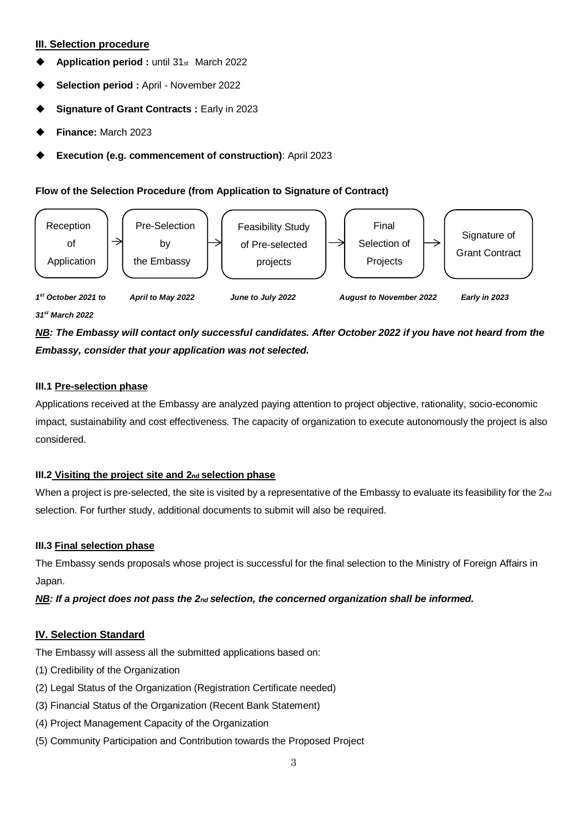#### **III. Selection procedure**

- **Application period :** until 31st March 2022
- **Selection period :** April November 2022
- **Signature of Grant Contracts : Early in 2023**
- **Finance:** March 2023
- **Execution (e.g. commencement of construction)**: April 2023

#### **Flow of the Selection Procedure (from Application to Signature of Contract)**



*31st March 2022* 

*NB: The Embassy will contact only successful candidates. After October 2022 if you have not heard from the Embassy, consider that your application was not selected.* 

#### **III.1 Pre-selection phase**

Applications received at the Embassy are analyzed paying attention to project objective, rationality, socio-economic impact, sustainability and cost effectiveness. The capacity of organization to execute autonomously the project is also considered.

#### **III.2 Visiting the project site and 2nd selection phase**

When a project is pre-selected, the site is visited by a representative of the Embassy to evaluate its feasibility for the 2<sub>nd</sub> selection. For further study, additional documents to submit will also be required.

#### **III.3 Final selection phase**

The Embassy sends proposals whose project is successful for the final selection to the Ministry of Foreign Affairs in Japan.

*NB: If a project does not pass the 2<sub>nd</sub> selection, the concerned organization shall be informed.* 

#### **IV. Selection Standard**

The Embassy will assess all the submitted applications based on:

- (1) Credibility of the Organization
- (2) Legal Status of the Organization (Registration Certificate needed)
- (3) Financial Status of the Organization (Recent Bank Statement)
- (4) Project Management Capacity of the Organization
- (5) Community Participation and Contribution towards the Proposed Project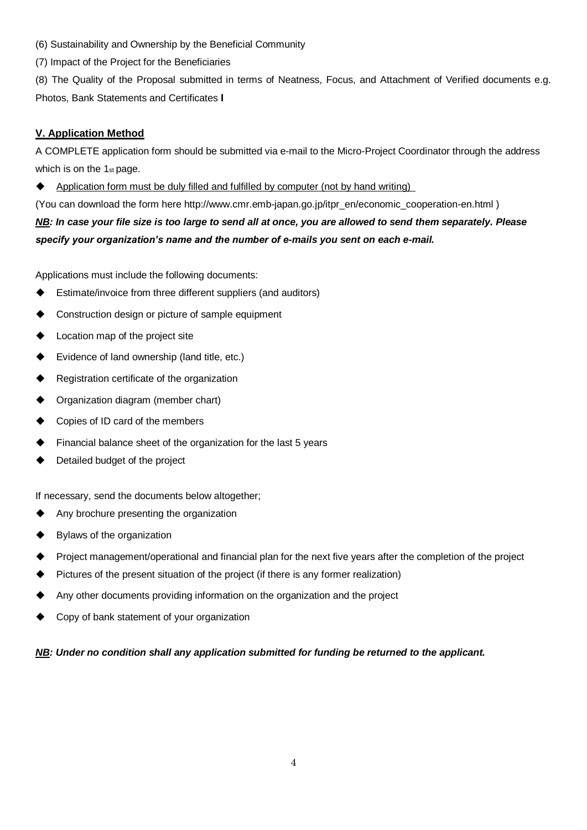- (6) Sustainability and Ownership by the Beneficial Community
- (7) Impact of the Project for the Beneficiaries

(8) The Quality of the Proposal submitted in terms of Neatness, Focus, and Attachment of Verified documents e.g. Photos, Bank Statements and Certificates **I**

### **V. Application Method**

A COMPLETE application form should be submitted via e-mail to the Micro-Project Coordinator through the address which is on the 1st page.

Application form must be duly filled and fulfilled by computer (not by hand writing)

(You can download the form here http://www.cmr.emb-japan.go.jp/itpr\_en/economic\_cooperation-en.html ) *NB: In case your file size is too large to send all at once, you are allowed to send them separately. Please specify your organization's name and the number of e-mails you sent on each e-mail.* 

Applications must include the following documents:

- Estimate/invoice from three different suppliers (and auditors)
- Construction design or picture of sample equipment
- Location map of the project site
- Evidence of land ownership (land title, etc.)
- Registration certificate of the organization
- Organization diagram (member chart)
- Copies of ID card of the members
- Financial balance sheet of the organization for the last 5 years
- Detailed budget of the project

If necessary, send the documents below altogether;

- Any brochure presenting the organization
- Bylaws of the organization
- Project management/operational and financial plan for the next five years after the completion of the project
- Pictures of the present situation of the project (if there is any former realization)
- Any other documents providing information on the organization and the project
- Copy of bank statement of your organization

*NB: Under no condition shall any application submitted for funding be returned to the applicant.*